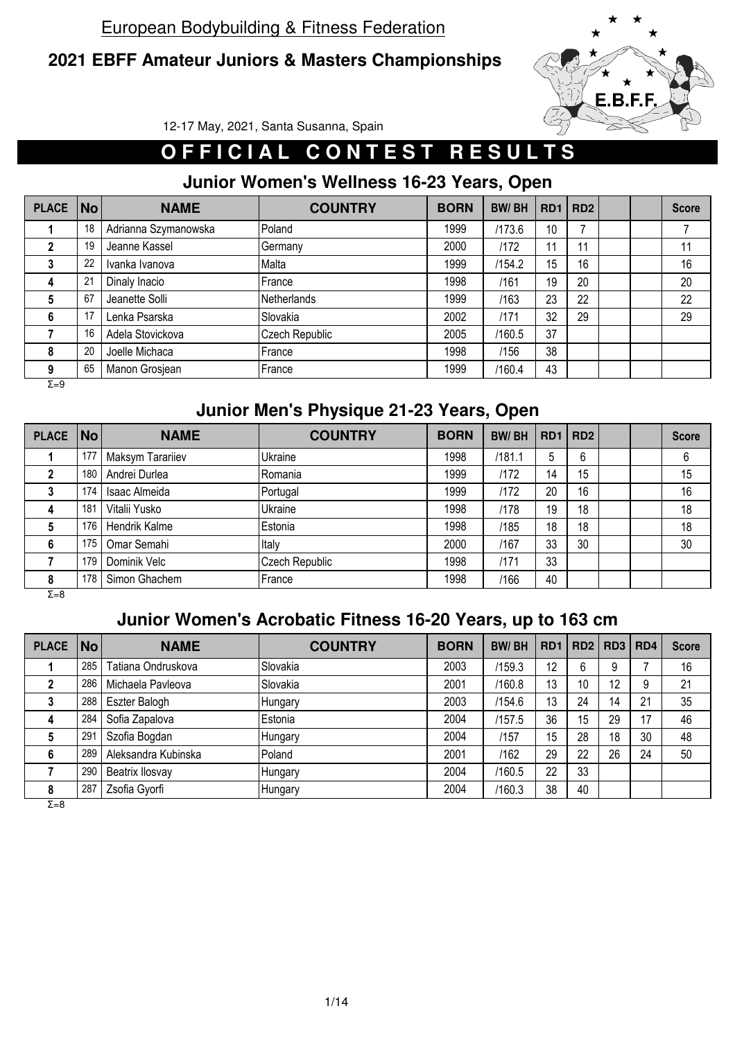### **2021 EBFF Amateur Juniors & Masters Championships**



12-17 May, 2021, Santa Susanna, Spain

# **OFFICIAL CONTEST RESULTS**

### **Junior Women's Wellness 16-23 Years, Open**

| <b>PLACE</b> | <b>No</b> | <b>NAME</b>          | <b>COUNTRY</b> | <b>BORN</b> | <b>BW/BH</b> | RD <sub>1</sub> | RD <sub>2</sub> |  | <b>Score</b> |
|--------------|-----------|----------------------|----------------|-------------|--------------|-----------------|-----------------|--|--------------|
|              | 18        | Adrianna Szymanowska | Poland         | 1999        | /173.6       | 10              | –               |  |              |
|              | 19        | Jeanne Kassel        | Germany        | 2000        | /172         | 11              |                 |  | 11           |
|              | 22        | Ivanka Ivanova       | Malta          | 1999        | /154.2       | 15              | 16              |  | 16           |
| 4            | 21        | Dinaly Inacio        | France         | 1998        | /161         | 19              | 20              |  | 20           |
| 5            | 67        | Jeanette Solli       | Netherlands    | 1999        | /163         | 23              | 22              |  | 22           |
| 6            | 17        | Lenka Psarska        | Slovakia       | 2002        | /171         | 32              | 29              |  | 29           |
|              | 16        | Adela Stovickova     | Czech Republic | 2005        | /160.5       | 37              |                 |  |              |
| 8            | 20        | Joelle Michaca       | France         | 1998        | /156         | 38              |                 |  |              |
| 9            | 65        | Manon Grosjean       | .France        | 1999        | /160.4       | 43              |                 |  |              |
| $\Sigma = 9$ |           |                      |                |             |              |                 |                 |  |              |

#### **Junior Men's Physique 21-23 Years, Open**

| <b>PLACE</b> | $\overline{\mathsf{No}}$ | <b>NAME</b>      | <b>COUNTRY</b> | <b>BORN</b> | <b>BW/BH</b> | RD1   RD2 |    |  | <b>Score</b> |
|--------------|--------------------------|------------------|----------------|-------------|--------------|-----------|----|--|--------------|
|              | 177                      | Maksym Tarariiev | Ukraine        | 1998        | /181.1       | 5         | 6  |  | 6            |
|              | 180                      | Andrei Durlea    | Romania        | 1999        | /172         | 14        | 15 |  | 15           |
|              | 174                      | Isaac Almeida    | Portugal       | 1999        | /172         | 20        | 16 |  | 16           |
| 4            | 181                      | Vitalii Yusko    | Ukraine        | 1998        | /178         | 19        | 18 |  | 18           |
|              | 176                      | Hendrik Kalme    | Estonia        | 1998        | /185         | 18        | 18 |  | 18           |
| 6            | 175                      | Omar Semahi      | Italy          | 2000        | /167         | 33        | 30 |  | 30           |
|              | 179                      | Dominik Velc     | Czech Republic | 1998        | /171         | 33        |    |  |              |
| 8            | 178                      | Simon Ghachem    | France         | 1998        | /166         | 40        |    |  |              |

Σ=8

# **Junior Women's Acrobatic Fitness 16-20 Years, up to 163 cm**

| <b>PLACE</b> | No l            | <b>NAME</b>         | <b>COUNTRY</b> | <b>BORN</b> | <b>BW/BH</b> | RD <sub>1</sub> |    | RD2   RD3 | RD <sub>4</sub> | <b>Score</b> |
|--------------|-----------------|---------------------|----------------|-------------|--------------|-----------------|----|-----------|-----------------|--------------|
|              | 285             | Tatiana Ondruskova  | Slovakia       | 2003        | /159.3       | 12              | 6  | 9         |                 | 16           |
|              | 286             | Michaela Pavleova   | Slovakia       | 2001        | /160.8       | 13              | 10 | 12        | 9               | 21           |
|              | 288             | Eszter Balogh       | Hungary        | 2003        | /154.6       | 13              | 24 | 14        | 21              | 35           |
| 4            | 284             | Sofia Zapalova      | Estonia        | 2004        | /157.5       | 36              | 15 | 29        | 17              | 46           |
|              | 29 <sup>7</sup> | Szofia Bogdan       | Hungary        | 2004        | /157         | 15              | 28 | 18        | 30              | 48           |
| 6            | 289             | Aleksandra Kubinska | Poland         | 2001        | /162         | 29              | 22 | 26        | 24              | 50           |
|              | 290             | Beatrix Ilosvay     | Hungary        | 2004        | /160.5       | 22              | 33 |           |                 |              |
| 8            | 287             | Zsofia Gyorfi       | <b>Hungary</b> | 2004        | /160.3       | 38              | 40 |           |                 |              |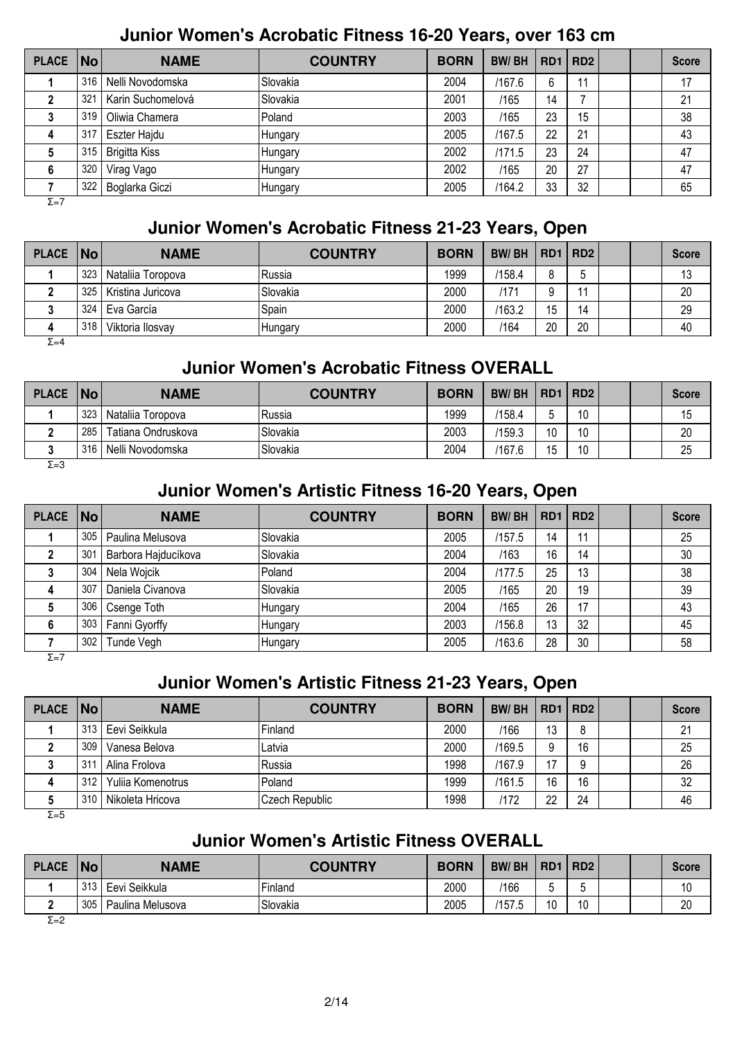#### **Junior Women's Acrobatic Fitness 16-20 Years, over 163 cm**

| <b>PLACE</b> | <b>No</b> | <b>NAME</b>          | <b>COUNTRY</b>  | <b>BORN</b> | <b>BW/BH</b> |    | RD1   RD2 |  | <b>Score</b> |
|--------------|-----------|----------------------|-----------------|-------------|--------------|----|-----------|--|--------------|
|              | 316       | Nelli Novodomska     | <b>Slovakia</b> | 2004        | /167.6       | 6  |           |  | 17           |
|              | 321       | Karin Suchomelová    | Slovakia        | 2001        | /165         | 14 |           |  | 21           |
|              | 319       | Oliwia Chamera       | Poland          | 2003        | /165         | 23 | 15        |  | 38           |
| 4            | 317       | Eszter Hajdu         | Hungary         | 2005        | /167.5       | 22 | 21        |  | 43           |
| Ð            | 315       | <b>Brigitta Kiss</b> | Hungary         | 2002        | /171.5       | 23 | 24        |  | 47           |
| 6            | 320       | Virag Vago           | Hungary         | 2002        | /165         | 20 | 27        |  | 47           |
|              | 322       | Boglarka Giczi       | Hungary         | 2005        | /164.2       | 33 | 32        |  | 65           |
| $\Sigma = 7$ |           |                      |                 |             |              |    |           |  |              |

#### **Junior Women's Acrobatic Fitness 21-23 Years, Open**

| PLACE   No   |     | <b>NAME</b>       | <b>COUNTRY</b>  | <b>BORN</b> | <b>BW/BH</b> | RD1   RD2 |    |  | <b>Score</b> |
|--------------|-----|-------------------|-----------------|-------------|--------------|-----------|----|--|--------------|
|              | 323 | Nataliia Toropova | lRussia         | 1999        | /158.4       | 8         |    |  | 13           |
|              | 325 | Kristina Juricova | <b>Slovakia</b> | 2000        | 17′          | a         |    |  | 20           |
|              | 324 | Eva García        | Spain           | 2000        | /163.2       | 15        | 14 |  | 29           |
| 4            | 318 | Viktoria Ilosvav  | Hungary         | 2000        | /164         | 20        | 20 |  | 40           |
| $\Sigma = 4$ |     |                   |                 |             |              |           |    |  |              |

## **Junior Women's Acrobatic Fitness OVERALL**

| <b>PLACE</b>  | $\vert$ No $\vert$ | <b>NAME</b>        | <b>COUNTRY</b>  | <b>BORN</b> | <b>BW/BH</b> | <b>RD1</b> | RD2 |  | <b>Score</b> |
|---------------|--------------------|--------------------|-----------------|-------------|--------------|------------|-----|--|--------------|
|               | 323                | Nataliia Toropova  | lRussia         | 1999        | '158.4'      |            | 10  |  | 15           |
|               | 285                | Tatiana Ondruskova | <b>Slovakia</b> | 2003        | /159.3       | 10         | 10  |  | 20           |
|               | 316                | Nelli Novodomska   | Slovakia        | 2004        | /167.6       | 15         | 10  |  | 25           |
| $\sim$ $\sim$ |                    |                    |                 |             |              |            |     |  |              |

 $\overline{Σ=3}$ 

## **Junior Women's Artistic Fitness 16-20 Years, Open**

| <b>PLACE</b> | No  | <b>NAME</b>         | <b>COUNTRY</b> | <b>BORN</b> | <b>BW/BH</b> | RD <sub>1</sub> | RD2 |  | <b>Score</b> |
|--------------|-----|---------------------|----------------|-------------|--------------|-----------------|-----|--|--------------|
|              | 305 | Paulina Melusova    | Slovakia       | 2005        | /157.5       | 14              | 11  |  | 25           |
|              | 301 | Barbora Hajducíkova | Slovakia       | 2004        | /163         | 16              | 14  |  | 30           |
|              | 304 | Nela Wojcik         | Poland         | 2004        | /177.5       | 25              | 13  |  | 38           |
| 4            | 307 | Daniela Civanova    | Slovakia       | 2005        | /165         | 20              | 19  |  | 39           |
|              | 306 | Csenge Toth         | Hungary        | 2004        | /165         | 26              | 17  |  | 43           |
|              | 303 | Fanni Gyorffy       | Hungary        | 2003        | /156.8       | 13              | 32  |  | 45           |
|              | 302 | <b>Tunde Vegh</b>   | Hungary        | 2005        | /163.6       | 28              | 30  |  | 58           |

 $\overline{Σ=7}$ 

### **Junior Women's Artistic Fitness 21-23 Years, Open**

| PLACE   No |     | <b>NAME</b>       | <b>COUNTRY</b> | <b>BORN</b> | <b>BW/BH</b> |    | RD1   RD2 |  | <b>Score</b> |
|------------|-----|-------------------|----------------|-------------|--------------|----|-----------|--|--------------|
|            | 313 | Eevi Seikkula     | Finland        | 2000        | /166         | 13 |           |  | 21           |
|            | 309 | Vanesa Belova     | Latvia         | 2000        | /169.5       |    | 16        |  | 25           |
|            | 311 | Alina Frolova     | Russia         | 1998        | /167.9       | 17 |           |  | 26           |
| 4          | 312 | Yulija Komenotrus | Poland         | 1999        | /161.5       | 16 | 16        |  | 32           |
|            | 310 | Nikoleta Hricova  | Czech Republic | 1998        | /172         | 22 | 24        |  | 46           |

 $\overline{Σ=5}$ 

### **Junior Women's Artistic Fitness OVERALL**

| <b>PLACE</b> | <b>No</b> | <b>NAME</b>      | <b>COUNTRY</b> | <b>BORN</b> | <b>BW/BH</b> | R <sub>D</sub> 1 | RD <sub>2</sub> |  | <b>Score</b> |
|--------------|-----------|------------------|----------------|-------------|--------------|------------------|-----------------|--|--------------|
|              | 313       | Eevi Seikkula    | Finland        | 2000        | 166          |                  |                 |  | 10           |
|              | 305       | Paulina Melusova | Slovakia       | 2005        | '157.5       | ៱៱<br>١U         | 10<br>ν         |  | 20           |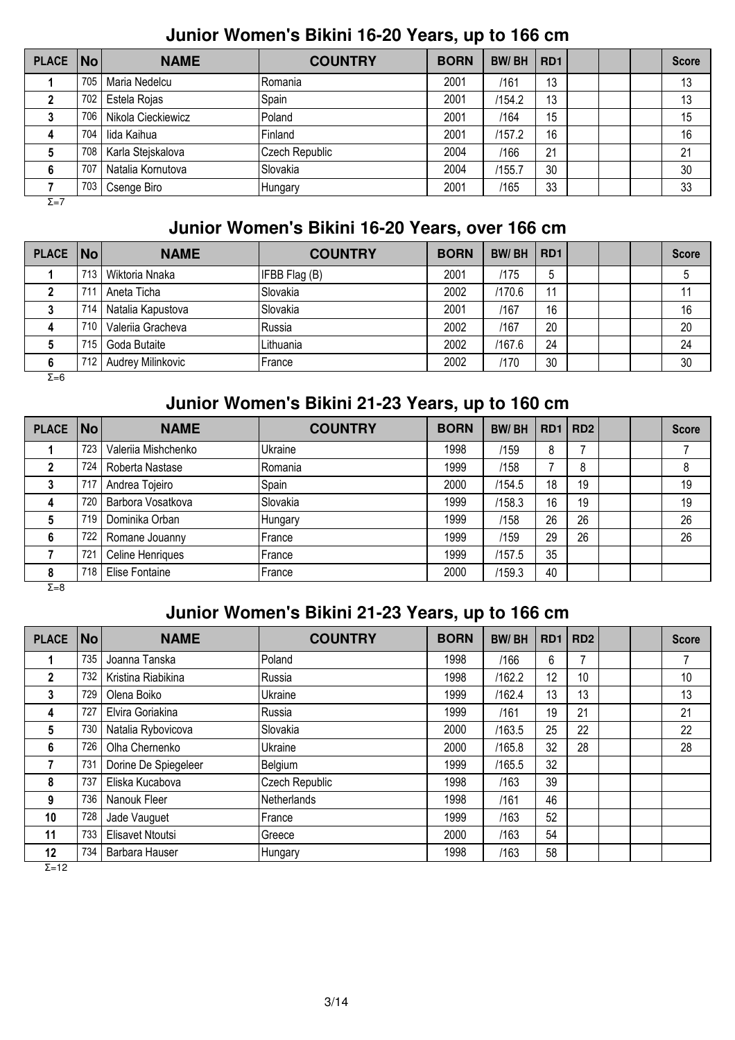#### **Junior Women's Bikini 16-20 Years, up to 166 cm**

| PLACE No     |     | <b>NAME</b>        | <b>COUNTRY</b> | <b>BORN</b> | <b>BW/BH</b> | RD <sub>1</sub> |  | <b>Score</b> |
|--------------|-----|--------------------|----------------|-------------|--------------|-----------------|--|--------------|
|              | 705 | Maria Nedelcu      | Romania        | 2001        | /161         | 13              |  | 13           |
|              | 702 | Estela Rojas       | Spain          | 2001        | /154.2       | 13              |  | 13           |
|              | 706 | Nikola Cieckiewicz | Poland         | 2001        | /164         | 15              |  | 15           |
| 4            | 704 | lida Kaihua        | Finland        | 2001        | /157.2       | 16              |  | 16           |
|              | 708 | Karla Stejskalova  | Czech Republic | 2004        | /166         | 21              |  | 21           |
| 6            | 707 | Natalia Kornutova  | Slovakia       | 2004        | /155.7       | 30              |  | 30           |
|              | 703 | Csenge Biro        | Hungary        | 2001        | /165         | 33              |  | 33           |
| $\Sigma = 7$ |     |                    |                |             |              |                 |  |              |

#### **Junior Women's Bikini 16-20 Years, over 166 cm**

| PLACE   No |     | <b>NAME</b>       | <b>COUNTRY</b> | <b>BORN</b> | <b>BW/BH</b> | RD <sub>1</sub> |  | <b>Score</b> |
|------------|-----|-------------------|----------------|-------------|--------------|-----------------|--|--------------|
|            | 713 | Wiktoria Nnaka    | IFBB Flag (B)  | 2001        | /175         | b               |  |              |
|            | 71  | Aneta Ticha       | Slovakia       | 2002        | /170.6       | 11              |  | 11           |
|            | 714 | Natalia Kapustova | Slovakia       | 2001        | /167         | 16              |  | 16           |
| 4          | 710 | Valerija Gracheva | IRussia        | 2002        | /167         | 20              |  | 20           |
|            | 715 | Goda Butaite      | Lithuania      | 2002        | /167.6       | 24              |  | 24           |
| 6          | 712 | Audrey Milinkovic | <b>France</b>  | 2002        | /170         | 30              |  | 30           |

Σ=6

# **Junior Women's Bikini 21-23 Years, up to 160 cm**

| <b>PLACE</b> | No  | <b>NAME</b>         | <b>COUNTRY</b> | <b>BORN</b> | <b>BW/BH</b> |    | RD1   RD2 |  | <b>Score</b> |
|--------------|-----|---------------------|----------------|-------------|--------------|----|-----------|--|--------------|
|              | 723 | Valeriia Mishchenko | Ukraine        | 1998        | /159         | 8  |           |  |              |
|              | 724 | Roberta Nastase     | Romania        | 1999        | /158         |    | 8         |  |              |
|              | 717 | Andrea Tojeiro      | Spain          | 2000        | /154.5       | 18 | 19        |  | 19           |
| 4            | 720 | Barbora Vosatkova   | Slovakia       | 1999        | /158.3       | 16 | 19        |  | 19           |
| 5            | 719 | Dominika Orban      | Hungary        | 1999        | /158         | 26 | 26        |  | 26           |
| 6            | 722 | Romane Jouanny      | France         | 1999        | /159         | 29 | 26        |  | 26           |
|              | 721 | Celine Henriques    | France         | 1999        | /157.5       | 35 |           |  |              |
| 8            | 718 | Elise Fontaine      | France         | 2000        | /159.3       | 40 |           |  |              |

Σ=8

### **Junior Women's Bikini 21-23 Years, up to 166 cm**

| <b>PLACE</b>      | No l | <b>NAME</b>          | <b>COUNTRY</b> | <b>BORN</b> | <b>BW/BH</b> | RD <sub>1</sub> | RD <sub>2</sub> |  | <b>Score</b> |
|-------------------|------|----------------------|----------------|-------------|--------------|-----------------|-----------------|--|--------------|
|                   | 735  | Joanna Tanska        | Poland         | 1998        | /166         | 6               |                 |  |              |
| $\mathbf{2}$      | 732  | Kristina Riabikina   | lRussia        | 1998        | /162.2       | 12              | 10              |  | 10           |
| 3                 | 729  | Olena Boiko          | Ukraine        | 1999        | /162.4       | 13              | 13              |  | 13           |
| 4                 | 727  | Elvira Goriakina     | Russia         | 1999        | /161         | 19              | 21              |  | 21           |
| 5                 | 730  | Natalia Rybovicova   | Slovakia       | 2000        | /163.5       | 25              | 22              |  | 22           |
| 6                 | 726  | Olha Chernenko       | Ukraine        | 2000        | /165.8       | 32              | 28              |  | 28           |
|                   | 731  | Dorine De Spiegeleer | Belgium        | 1999        | /165.5       | 32              |                 |  |              |
| 8                 | 737  | Eliska Kucabova      | Czech Republic | 1998        | /163         | 39              |                 |  |              |
| 9                 | 736  | Nanouk Fleer         | Netherlands    | 1998        | /161         | 46              |                 |  |              |
| 10                | 728  | Jade Vauguet         | France         | 1999        | /163         | 52              |                 |  |              |
| 11                | 733  | Elisavet Ntoutsi     | Greece         | 2000        | /163         | 54              |                 |  |              |
| 12<br><b>-</b> 10 | 734  | Barbara Hauser       | Hungary        | 1998        | /163         | 58              |                 |  |              |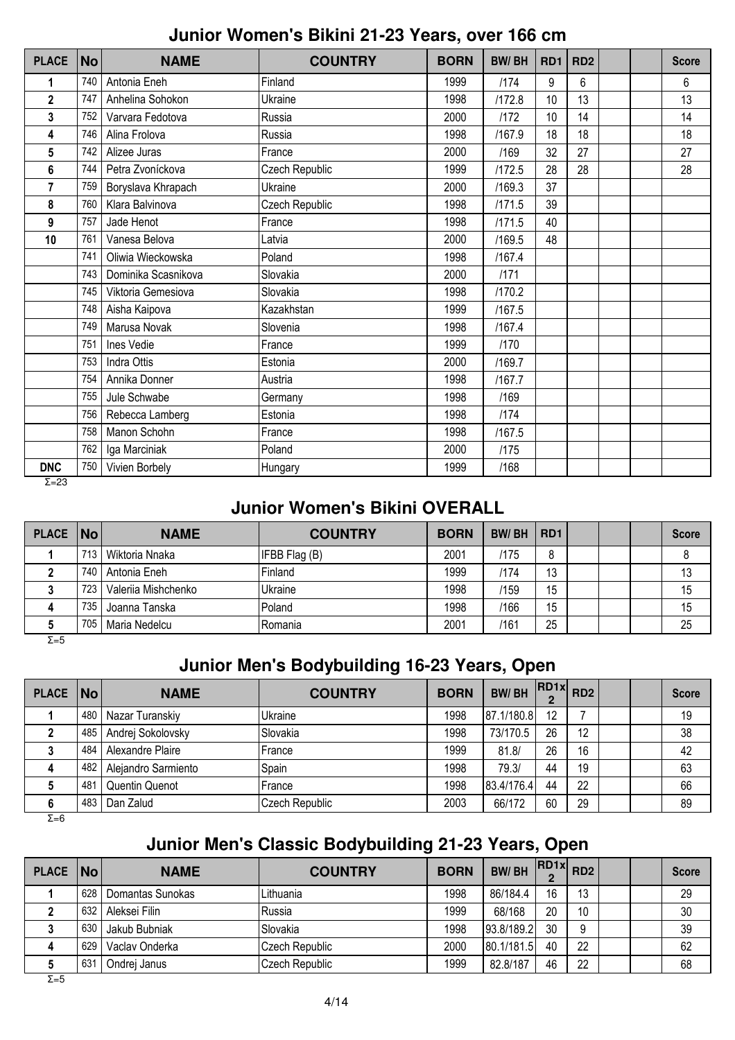#### **Junior Women's Bikini 21-23 Years, over 166 cm**

| <b>PLACE</b>   | <b>No</b> | <b>NAME</b>         | <b>COUNTRY</b> | <b>BORN</b> | <b>BW/BH</b> | RD1 | RD <sub>2</sub> |  | <b>Score</b> |
|----------------|-----------|---------------------|----------------|-------------|--------------|-----|-----------------|--|--------------|
| 1              | 740       | Antonia Eneh        | Finland        | 1999        | 1174         | 9   | 6               |  | 6            |
| $\mathbf{2}$   | 747       | Anhelina Sohokon    | Ukraine        | 1998        | /172.8       | 10  | 13              |  | 13           |
| 3              | 752       | Varvara Fedotova    | Russia         | 2000        | /172         | 10  | 14              |  | 14           |
| 4              | 746       | Alina Frolova       | Russia         | 1998        | /167.9       | 18  | 18              |  | 18           |
| 5              | 742       | Alizee Juras        | France         | 2000        | /169         | 32  | 27              |  | 27           |
| 6              | 744       | Petra Zvoníckova    | Czech Republic | 1999        | /172.5       | 28  | 28              |  | 28           |
| $\overline{7}$ | 759       | Boryslava Khrapach  | Ukraine        | 2000        | /169.3       | 37  |                 |  |              |
| 8              | 760       | Klara Balvinova     | Czech Republic | 1998        | /171.5       | 39  |                 |  |              |
| 9              | 757       | Jade Henot          | France         | 1998        | /171.5       | 40  |                 |  |              |
| 10             | 761       | Vanesa Belova       | Latvia         | 2000        | /169.5       | 48  |                 |  |              |
|                | 741       | Oliwia Wieckowska   | Poland         | 1998        | /167.4       |     |                 |  |              |
|                | 743       | Dominika Scasnikova | Slovakia       | 2000        | /171         |     |                 |  |              |
|                | 745       | Viktoria Gemesiova  | Slovakia       | 1998        | /170.2       |     |                 |  |              |
|                | 748       | Aisha Kaipova       | Kazakhstan     | 1999        | /167.5       |     |                 |  |              |
|                | 749       | Marusa Novak        | Slovenia       | 1998        | /167.4       |     |                 |  |              |
|                | 751       | Ines Vedie          | France         | 1999        | /170         |     |                 |  |              |
|                | 753       | Indra Ottis         | Estonia        | 2000        | /169.7       |     |                 |  |              |
|                | 754       | Annika Donner       | Austria        | 1998        | /167.7       |     |                 |  |              |
|                | 755       | Jule Schwabe        | Germany        | 1998        | /169         |     |                 |  |              |
|                | 756       | Rebecca Lamberg     | Estonia        | 1998        | 1174         |     |                 |  |              |
|                | 758       | Manon Schohn        | France         | 1998        | /167.5       |     |                 |  |              |
|                | 762       | Iga Marciniak       | Poland         | 2000        | /175         |     |                 |  |              |
| <b>DNC</b>     | 750       | Vivien Borbely      | Hungary        | 1999        | /168         |     |                 |  |              |

 $\overline{\Sigma}$ =23

#### **Junior Women's Bikini OVERALL**

| PLACE   No |     | <b>NAME</b>         | <b>COUNTRY</b> | <b>BORN</b> | <b>BW/BH</b> | RD <sub>1</sub> |  | <b>Score</b> |
|------------|-----|---------------------|----------------|-------------|--------------|-----------------|--|--------------|
|            | 713 | Wiktoria Nnaka      | IFBB Flag (B)  | 2001        | /175         | 8               |  |              |
|            | 740 | Antonia Eneh        | Finland        | 1999        | /174         | 13              |  | 13           |
|            | 723 | Valeriia Mishchenko | Ukraine        | 1998        | /159         | 15              |  | 15           |
| 4          | 735 | Joanna Tanska       | Poland         | 1998        | /166         | 15              |  | 15           |
|            | 705 | Maria Nedelcu       | Romania        | 2001        | /161         | 25              |  | 25           |

Σ=5

# **Junior Men's Bodybuilding 16-23 Years, Open**

| PLACE   No |     | <b>NAME</b>           | <b>COUNTRY</b>  | <b>BORN</b> | <b>BW/BH</b> | $\therefore$ RD1x RD2 |    |  | <b>Score</b> |
|------------|-----|-----------------------|-----------------|-------------|--------------|-----------------------|----|--|--------------|
|            | 480 | Nazar Turanskiy       | Ukraine         | 1998        | 187.1/180.81 | 12                    |    |  | 19           |
|            | 485 | Andrej Sokolovsky     | <b>Slovakia</b> | 1998        | 73/170.5     | 26                    | 12 |  | 38           |
|            | 484 | Alexandre Plaire      | France          | 1999        | 81.8/        | 26                    | 16 |  | 42           |
|            | 482 | Alejandro Sarmiento   | Spain           | 1998        | 79.3/        | 44                    | 19 |  | 63           |
|            | 481 | <b>Quentin Quenot</b> | France          | 1998        | 83.4/176.4   | 44                    | 22 |  | 66           |
| 6          | 483 | Dan Zalud             | Czech Republic  | 2003        | 66/172       | 60                    | 29 |  | 89           |

 $\overline{Σ=6}$ 

# **Junior Men's Classic Bodybuilding 21-23 Years, Open**

| <b>PLACE</b> | No  | <b>NAME</b>      | <b>COUNTRY</b> | <b>BORN</b> | <b>BW/BH</b> | RD1x | RD <sub>2</sub> |  | <b>Score</b> |
|--------------|-----|------------------|----------------|-------------|--------------|------|-----------------|--|--------------|
|              | 628 | Domantas Sunokas | Lithuania      | 1998        | 86/184.4     | 16   | 13              |  | 29           |
|              | 632 | Aleksei Filin    | lRussia        | 1999        | 68/168       | 20   | 10              |  | 30           |
|              | 630 | Jakub Bubniak    | Slovakia       | 1998        | 93.8/189.2   | 30   |                 |  | 39           |
| 4            | 629 | Vaclav Onderka   | Czech Republic | 2000        | 80.1/181.5   | 40   | 22              |  | 62           |
|              | 63' | Ondrei Janus     | Czech Republic | 1999        | 82.8/187     | 46   | 22              |  | 68           |
| $\Sigma = 5$ |     |                  |                |             |              |      |                 |  |              |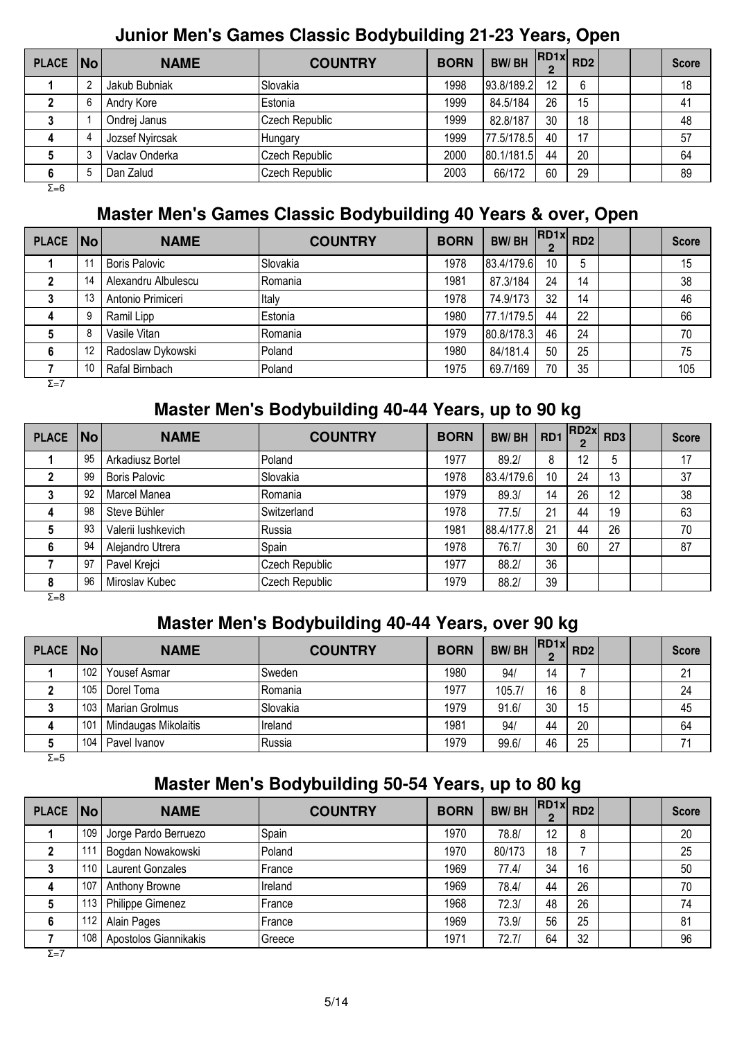## **Junior Men's Games Classic Bodybuilding 21-23 Years, Open**

| PLACE   No |        | <b>NAME</b>     | <b>COUNTRY</b>  | <b>BORN</b> | <b>BW/BH</b> | $\overline{R}$ RD1x RD2 |    |  | <b>Score</b> |
|------------|--------|-----------------|-----------------|-------------|--------------|-------------------------|----|--|--------------|
|            | $\sim$ | Jakub Bubniak   | Slovakia        | 1998        | 93.8/189.2   | $12 \overline{ }$       | 6  |  | 18           |
|            |        | Andry Kore      | <b>IEstonia</b> | 1999        | 84.5/184     | 26                      | 15 |  | 41           |
|            |        | Ondrej Janus    | Czech Republic  | 1999        | 82.8/187     | 30                      | 18 |  | 48           |
| 4          |        | Jozsef Nyircsak | Hungary         | 1999        | 77.5/178.5   | 40                      | 17 |  | 57           |
|            |        | Vaclav Onderka  | Czech Republic  | 2000        | 80.1/181.5   | 44                      | 20 |  | 64           |
| 6          |        | Dan Zalud       | Czech Republic  | 2003        | 66/172       | 60                      | 29 |  | 89           |
| Σ=6        |        |                 |                 |             |              |                         |    |  |              |

### **Master Men's Games Classic Bodybuilding 40 Years & over, Open**

| PLACE No     |    | <b>NAME</b>          | <b>COUNTRY</b> | <b>BORN</b> | <b>BW/BH</b> | $\cdot$ $ RD1x $ RD2<br>C |    |  | <b>Score</b> |
|--------------|----|----------------------|----------------|-------------|--------------|---------------------------|----|--|--------------|
|              |    | <b>Boris Palovic</b> | Slovakia       | 1978        | 83.4/179.6   | 10                        | 5  |  | 15           |
|              | 14 | Alexandru Albulescu  | Romania        | 1981        | 87.3/184     | 24                        | 14 |  | 38           |
|              | 13 | Antonio Primiceri    | Italy          | 1978        | 74.9/173     | 32                        | 14 |  | 46           |
| 4            | 9  | Ramil Lipp           | Estonia        | 1980        | 77.1/179.5   | 44                        | 22 |  | 66           |
|              | 8  | Vasile Vitan         | Romania        | 1979        | 80.8/178.3   | 46                        | 24 |  | 70           |
| 6            | 12 | Radoslaw Dykowski    | Poland         | 1980        | 84/181.4     | 50                        | 25 |  | 75           |
|              | 10 | Rafal Birnbach       | Poland         | 1975        | 69.7/169     | 70                        | 35 |  | 105          |
| $\Sigma = 7$ |    |                      |                |             |              |                           |    |  |              |

### **Master Men's Bodybuilding 40-44 Years, up to 90 kg**

| <b>PLACE</b> | No | <b>NAME</b>          | <b>COUNTRY</b> | <b>BORN</b> | <b>BW/BH</b> | RD <sub>1</sub> | RD <sub>2x</sub><br>$\mathbf{2}$ | RD <sub>3</sub> | <b>Score</b> |
|--------------|----|----------------------|----------------|-------------|--------------|-----------------|----------------------------------|-----------------|--------------|
|              | 95 | Arkadiusz Bortel     | Poland         | 1977        | 89.2/        | 8               | 12                               | 5               | 17           |
|              | 99 | <b>Boris Palovic</b> | Slovakia       | 1978        | 83.4/179.6   | 10              | 24                               | 13              | 37           |
|              | 92 | Marcel Manea         | Romania        | 1979        | 89.3/        | 14              | 26                               | 12              | 38           |
| 4            | 98 | Steve Bühler         | Switzerland    | 1978        | 77.5/        | 21              | 44                               | 19              | 63           |
|              | 93 | Valerii lushkevich   | Russia         | 1981        | 88.4/177.8   | 21              | 44                               | 26              | 70           |
| 6            | 94 | Alejandro Utrera     | Spain          | 1978        | 76.7/        | 30              | 60                               | 27              | 87           |
|              | 97 | Pavel Krejci         | Czech Republic | 1977        | 88.2/        | 36              |                                  |                 |              |
| 8            | 96 | Miroslav Kubec       | Czech Republic | 1979        | 88.2/        | 39              |                                  |                 |              |

Σ=8

# **Master Men's Bodybuilding 40-44 Years, over 90 kg**

| <b>PLACE</b> | No               | <b>NAME</b>          | <b>COUNTRY</b>        | <b>BORN</b> | <b>BW/BH</b> | RD1x | RD <sub>2</sub> |  | <b>Score</b> |
|--------------|------------------|----------------------|-----------------------|-------------|--------------|------|-----------------|--|--------------|
|              | 102 <sub>1</sub> | Yousef Asmar         | Sweden                | 1980        | 94/          | 14   |                 |  | 21           |
|              | 105              | Dorel Toma           | lRomania              | 1977        | 105.7/       | 16   | 8               |  | 24           |
|              |                  | 103   Marian Grolmus | <sup>1</sup> Slovakia | 1979        | 91.6/        | 30   | 15              |  | 45           |
|              | 101              | Mindaugas Mikolaitis | Ireland               | 1981        | 94/          | 44   | 20              |  | 64           |
|              | 104.             | Pavel Ivanov         | lRussia               | 1979        | 99.6/        | 46   | 25              |  | 71           |

 $Σ=5$ 

# **Master Men's Bodybuilding 50-54 Years, up to 80 kg**

| <b>PLACE</b> | <b>No</b> | <b>NAME</b>           | <b>COUNTRY</b> | <b>BORN</b> | <b>BW/BH</b> | $\cdot$ RD1x RD2 |    |  | <b>Score</b> |
|--------------|-----------|-----------------------|----------------|-------------|--------------|------------------|----|--|--------------|
|              | 109       | Jorge Pardo Berruezo  | Spain          | 1970        | 78.8/        | 12               | 8  |  | 20           |
|              |           | Bogdan Nowakowski     | Poland         | 1970        | 80/173       | 18               |    |  | 25           |
|              | 110       | Laurent Gonzales      | France         | 1969        | 77.4/        | 34               | 16 |  | 50           |
| 4            | 107       | Anthony Browne        | Ireland        | 1969        | 78.4/        | 44               | 26 |  | 70           |
|              | 113,      | Philippe Gimenez      | France         | 1968        | 72.3/        | 48               | 26 |  | 74           |
| 6            | 112       | Alain Pages           | France         | 1969        | 73.9/        | 56               | 25 |  | 81           |
|              | 108       | Apostolos Giannikakis | Greece         | 1971        | 72.7/        | 64               | 32 |  | 96           |

 $\overline{\Sigma}=\overline{7}$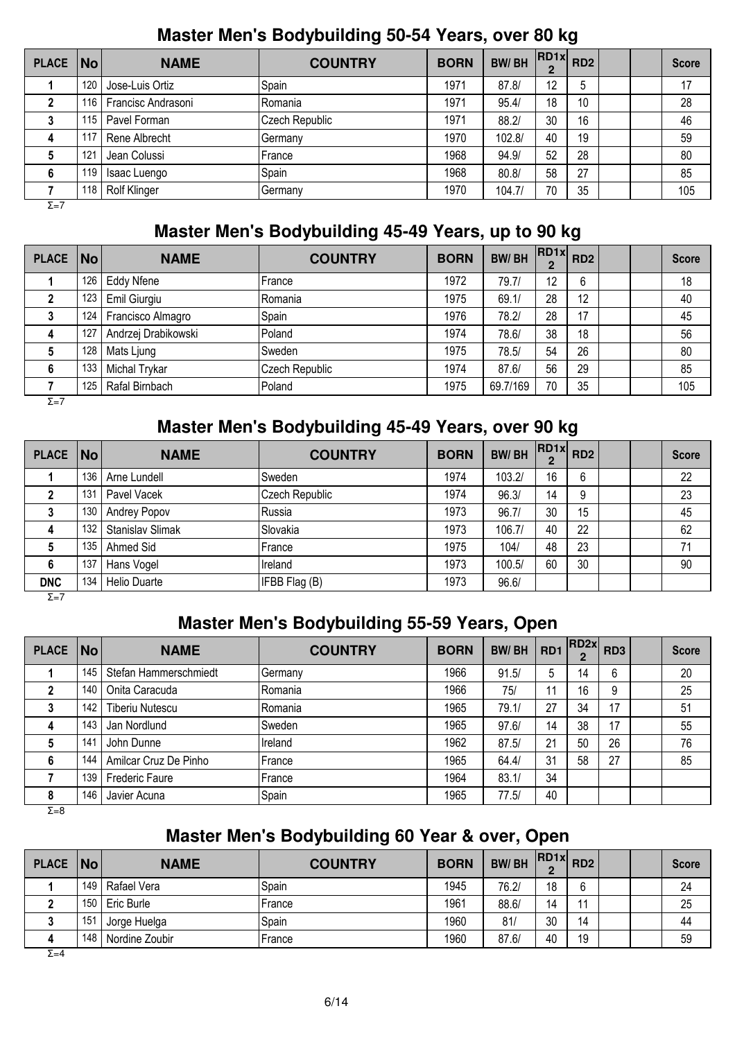#### **Master Men's Bodybuilding 50-54 Years, over 80 kg**

| <b>PLACE</b> | No  | <b>NAME</b>         | <b>COUNTRY</b> | <b>BORN</b> | <b>BW/BH</b> | $\cdot$ RD1x RD2 |             |  | <b>Score</b> |
|--------------|-----|---------------------|----------------|-------------|--------------|------------------|-------------|--|--------------|
|              | 120 | Jose-Luis Ortiz     | Spain          | 1971        | 87.8/        | 12               | $\mathbf b$ |  | 17           |
|              | 116 | Francisc Andrasoni  | Romania        | 1971        | 95.4/        | 18               | 10          |  | 28           |
|              | 115 | Pavel Forman        | Czech Republic | 1971        | 88.2/        | 30               | 16          |  | 46           |
| 4            | 117 | Rene Albrecht       | Germany        | 1970        | 102.8/       | 40               | 19          |  | 59           |
|              | 121 | Jean Colussi        | France         | 1968        | 94.9/        | 52               | 28          |  | 80           |
| 6            | 119 | Isaac Luengo        | Spain          | 1968        | 80.8/        | 58               | 27          |  | 85           |
|              | 118 | <b>Rolf Klinger</b> | Germany        | 1970        | 104.7/       | 70               | 35          |  | 105          |

Σ=7

# **Master Men's Bodybuilding 45-49 Years, up to 90 kg**

| <b>PLACE</b> | No  | <b>NAME</b>         | <b>COUNTRY</b> | <b>BORN</b> | <b>BW/BH</b> | $RDIx$ RD2 |    |  | <b>Score</b> |
|--------------|-----|---------------------|----------------|-------------|--------------|------------|----|--|--------------|
|              | 126 | <b>Eddy Nfene</b>   | France         | 1972        | 79.7/        | 12         | 6  |  | 18           |
|              | 123 | Emil Giurgiu        | Romania        | 1975        | 69.1/        | 28         | 12 |  | 40           |
|              | 124 | Francisco Almagro   | Spain          | 1976        | 78.2/        | 28         | 17 |  | 45           |
| 4            | 127 | Andrzej Drabikowski | Poland         | 1974        | 78.6/        | 38         | 18 |  | 56           |
|              | 128 | Mats Ljung          | Sweden         | 1975        | 78.5/        | 54         | 26 |  | 80           |
| 6            | 133 | Michal Trykar       | Czech Republic | 1974        | 87.6/        | 56         | 29 |  | 85           |
|              | 125 | Rafal Birnbach      | Poland         | 1975        | 69.7/169     | 70         | 35 |  | 105          |

 $\overline{\Sigma}=\overline{7}$ 

## **Master Men's Bodybuilding 45-49 Years, over 90 kg**

| <b>PLACE</b>      | No  | <b>NAME</b>             | <b>COUNTRY</b>       | <b>BORN</b> | <b>BW/BH</b> | $\cdot$  RD1x  RD2 |    |  | <b>Score</b> |
|-------------------|-----|-------------------------|----------------------|-------------|--------------|--------------------|----|--|--------------|
|                   | 136 | Arne Lundell            | <b>Sweden</b>        | 1974        | 103.2/       | 16                 | 6  |  | 22           |
|                   | 131 | Pavel Vacek             | Czech Republic       | 1974        | 96.3/        | 14                 | 9  |  | 23           |
|                   | 130 | Andrey Popov            | Russia               | 1973        | 96.7/        | 30                 | 15 |  | 45           |
| 4                 | 132 | <b>Stanislav Slimak</b> | Slovakia             | 1973        | 106.7/       | 40                 | 22 |  | 62           |
| 5                 | 135 | Ahmed Sid               | France               | 1975        | 104/         | 48                 | 23 |  | 71           |
| 6                 | 137 | Hans Vogel              | Ireland              | 1973        | 100.5/       | 60                 | 30 |  | 90           |
| <b>DNC</b><br>- - | 134 | <b>Helio Duarte</b>     | <b>IFBB Flag (B)</b> | 1973        | 96.6/        |                    |    |  |              |

Σ=7

# **Master Men's Bodybuilding 55-59 Years, Open**

| <b>PLACE</b> | <b>No</b> | <b>NAME</b>            | <b>COUNTRY</b> | <b>BORN</b> | <b>BW/BH</b> | RD <sub>1</sub> | RD2x <br>$\mathbf 2$ | RD <sub>3</sub> | <b>Score</b> |
|--------------|-----------|------------------------|----------------|-------------|--------------|-----------------|----------------------|-----------------|--------------|
|              | 145       | Stefan Hammerschmiedt  | Germany        | 1966        | 91.5/        | 5               | 14                   | 6               | 20           |
|              | 140       | Onita Caracuda         | Romania        | 1966        | 75/          |                 | 16                   | 9               | 25           |
|              | 142       | <b>Tiberiu Nutescu</b> | Romania        | 1965        | 79.1/        | 27              | 34                   | 17              | 51           |
| 4            | 143       | Jan Nordlund           | Sweden         | 1965        | 97.6/        | 14              | 38                   | 17              | 55           |
| 5            | 141       | John Dunne             | Ireland        | 1962        | 87.5/        | 21              | 50                   | 26              | 76           |
| 6            | 144       | Amilcar Cruz De Pinho  | France         | 1965        | 64.4/        | 31              | 58                   | 27              | 85           |
|              | 139       | <b>Frederic Faure</b>  | France         | 1964        | 83.1/        | 34              |                      |                 |              |
| 8            | 146       | Javier Acuna           | Spain          | 1965        | 77.5/        | 40              |                      |                 |              |

Σ=8

# **Master Men's Bodybuilding 60 Year & over, Open**

| PLACE No |                  | <b>NAME</b>      | <b>COUNTRY</b> | <b>BORN</b> | <b>BW/BH</b> | $RDIx$ RD2 |    |  | <b>Score</b> |
|----------|------------------|------------------|----------------|-------------|--------------|------------|----|--|--------------|
|          | 149 <sub>1</sub> | Rafael Vera      | Spain          | 1945        | 76.2/        | 18         | ĥ. |  | 24           |
|          |                  | 150   Eric Burle | France         | 1961        | 88.6/        | 14         | 44 |  | 25           |
|          | 151              | Jorge Huelga     | Spain          | 1960        | 81           | 30         | 14 |  | 44           |
|          | 148              | Nordine Zoubir   | France         | 1960        | 87.6/        | 40         | 19 |  | 59           |
| $ \cdot$ |                  |                  |                |             |              |            |    |  |              |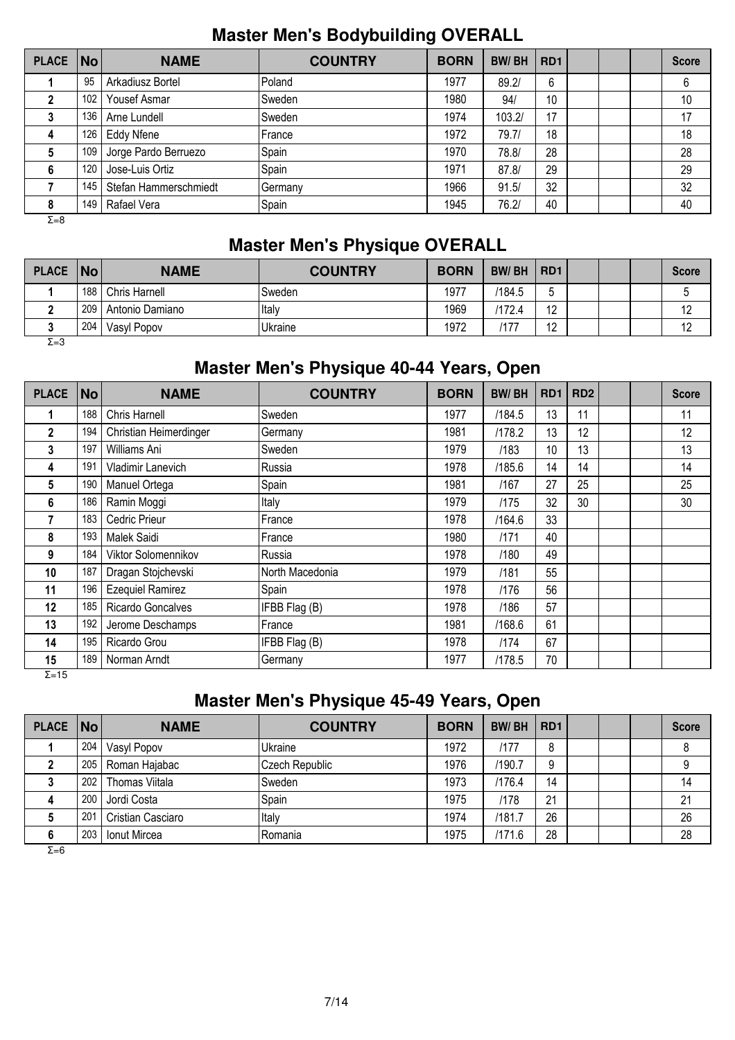## **Master Men's Bodybuilding OVERALL**

| PLACE   No   |     | <b>NAME</b>           | <b>COUNTRY</b> | <b>BORN</b> | <b>BW/BH</b> | RD <sub>1</sub> |  | <b>Score</b> |
|--------------|-----|-----------------------|----------------|-------------|--------------|-----------------|--|--------------|
|              | 95  | Arkadiusz Bortel      | Poland         | 1977        | 89.2/        | 6               |  | 6            |
|              | 102 | Yousef Asmar          | Sweden         | 1980        | 94/          | 10              |  | 10           |
|              | 136 | Arne Lundell          | Sweden         | 1974        | 103.2/       | 17              |  | 17           |
| 4            | 126 | Eddy Nfene            | France         | 1972        | 79.7/        | 18              |  | 18           |
| 5            | 109 | Jorge Pardo Berruezo  | Spain          | 1970        | 78.8/        | 28              |  | 28           |
| 6            | 120 | Jose-Luis Ortiz       | Spain          | 1971        | 87.8/        | 29              |  | 29           |
|              | 145 | Stefan Hammerschmiedt | Germany        | 1966        | 91.5/        | 32              |  | 32           |
| 8            | 149 | Rafael Vera           | Spain          | 1945        | 76.2/        | 40              |  | 40           |
| $\Sigma = 8$ |     |                       |                |             |              |                 |  |              |

# **Master Men's Physique OVERALL**

| <b>PLACE</b> | No  | <b>NAME</b>     | <b>COUNTRY</b> | <b>BORN</b> | <b>BW/BH</b> | RD <sub>1</sub>      |  | <b>Score</b> |
|--------------|-----|-----------------|----------------|-------------|--------------|----------------------|--|--------------|
|              | 188 | Chris Harnell   | Sweden         | 1977        | /184.5       | ħ<br>u               |  |              |
|              | 209 | Antonio Damiano | Italy          | 1969        | 172.4        | $\overline{10}$<br>∸ |  |              |
|              | 204 | Vasyl Popov     | Ukraine        | 1972        | '17          | $\sqrt{2}$<br>▵      |  | ' –          |
| $\Sigma = 3$ |     |                 |                |             |              |                      |  |              |

## **Master Men's Physique 40-44 Years, Open**

| <b>PLACE</b>  | <b>No</b> | <b>NAME</b>              | <b>COUNTRY</b>  | <b>BORN</b> | <b>BW/BH</b> | R <sub>D</sub> 1 | RD <sub>2</sub> |  | <b>Score</b> |
|---------------|-----------|--------------------------|-----------------|-------------|--------------|------------------|-----------------|--|--------------|
| 1             | 188       | Chris Harnell            | Sweden          | 1977        | /184.5       | 13               | 11              |  | 11           |
| $\mathbf{2}$  | 194       | Christian Heimerdinger   | Germany         | 1981        | /178.2       | 13               | 12              |  | 12           |
| 3             | 197       | Williams Ani             | Sweden          | 1979        | /183         | 10               | 13              |  | 13           |
| 4             | 191       | Vladimir Lanevich        | Russia          | 1978        | /185.6       | 14               | 14              |  | 14           |
| 5             | 190       | Manuel Ortega            | Spain           | 1981        | /167         | 27               | 25              |  | 25           |
| 6             | 186       | Ramin Moggi              | Italy           | 1979        | /175         | 32               | 30              |  | 30           |
| 7             | 183       | Cedric Prieur            | France          | 1978        | /164.6       | 33               |                 |  |              |
| 8             | 193       | Malek Saidi              | France          | 1980        | /171         | 40               |                 |  |              |
| 9             | 184       | Viktor Solomennikov      | Russia          | 1978        | /180         | 49               |                 |  |              |
| 10            | 187       | Dragan Stojchevski       | North Macedonia | 1979        | /181         | 55               |                 |  |              |
| 11            | 196       | <b>Ezequiel Ramirez</b>  | Spain           | 1978        | /176         | 56               |                 |  |              |
| 12            | 185       | <b>Ricardo Goncalves</b> | IFBB Flag (B)   | 1978        | /186         | 57               |                 |  |              |
| 13            | 192       | Jerome Deschamps         | France          | 1981        | /168.6       | 61               |                 |  |              |
| 14            | 195       | Ricardo Grou             | IFBB Flag (B)   | 1978        | /174         | 67               |                 |  |              |
| 15            | 189       | Norman Arndt             | Germany         | 1977        | /178.5       | 70               |                 |  |              |
| $\Sigma = 15$ |           |                          |                 |             |              |                  |                 |  |              |

# **Master Men's Physique 45-49 Years, Open**

| PLACE   No |     | <b>NAME</b>         | <b>COUNTRY</b> | <b>BORN</b> | <b>BW/BH</b> | RD <sub>1</sub> |  | <b>Score</b> |
|------------|-----|---------------------|----------------|-------------|--------------|-----------------|--|--------------|
|            | 204 | Vasyl Popov         | Ukraine        | 1972        | /177         | 8               |  | 8            |
|            | 205 | Roman Hajabac       | Czech Republic | 1976        | /190.7       | 9               |  | 9            |
|            | 202 | Thomas Viitala      | Sweden         | 1973        | /176.4       | 14              |  | 14           |
| 4          | 200 | Jordi Costa         | Spain          | 1975        | /178         | 21              |  | 21           |
|            | 201 | Cristian Casciaro   | Italy          | 1974        | /181.7       | 26              |  | 26           |
| 6          | 203 | <b>Ionut Mircea</b> | Romania        | 1975        | /171.6       | 28              |  | 28           |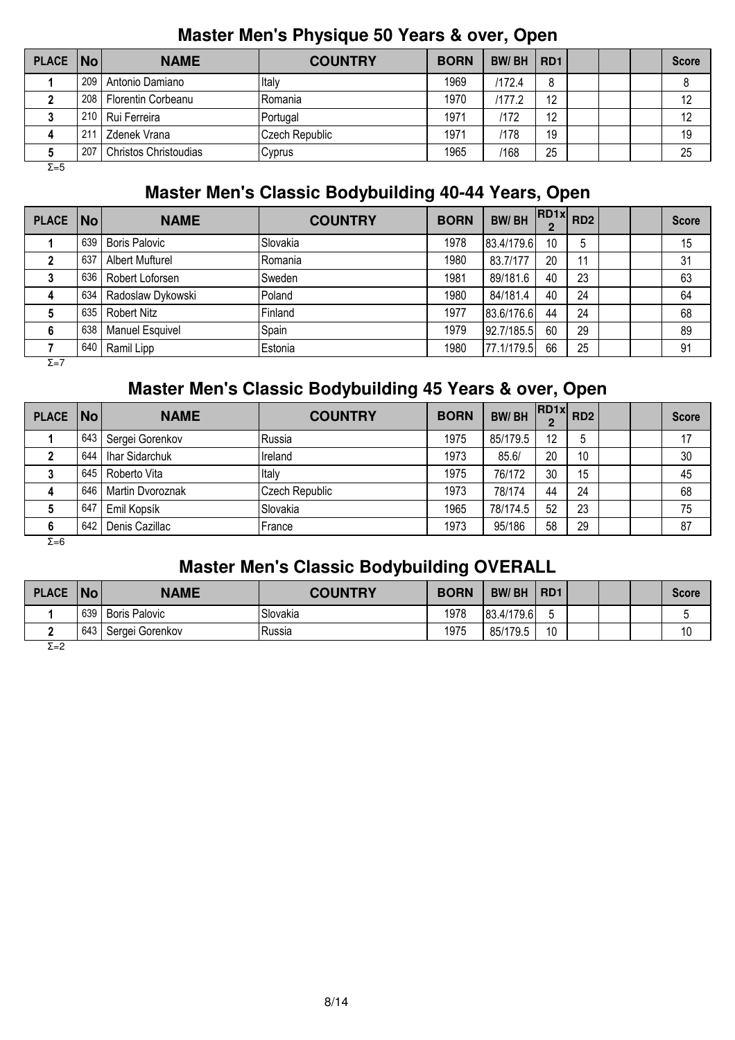| <b>PLACE</b> | No               | <b>NAME</b>                  | <b>COUNTRY</b> | <b>BORN</b> | <b>BW/BH</b> | RD <sub>1</sub> |  | <b>Score</b> |
|--------------|------------------|------------------------------|----------------|-------------|--------------|-----------------|--|--------------|
|              | 209              | l Antonio Damiano            | Iltalv         | 1969        | /172.4       | 8               |  |              |
|              | 208 <sub>1</sub> | Florentin Corbeanu           | IRomania       | 1970        | /177.2       | 12              |  | 12           |
|              | 210              | Rui Ferreira                 | Portugal       | 1971        | /172         | 12              |  | 12           |
|              | 211              | Zdenek Vrana                 | Czech Republic | 1971        | /178         | 19              |  | 19           |
|              | 207              | <b>Christos Christoudias</b> | Cyprus         | 1965        | /168         | 25              |  | 25           |
| $\Sigma = 5$ |                  |                              |                |             |              |                 |  |              |

#### **Master Men's Physique 50 Years & over, Open**

## **Master Men's Classic Bodybuilding 40-44 Years, Open**

| PLACE No     |     | <b>NAME</b>            | <b>COUNTRY</b> | <b>BORN</b> | <b>BW/BH</b> | $\cdot$ RD1x RD2<br>$\overline{2}$ |    |  | <b>Score</b> |
|--------------|-----|------------------------|----------------|-------------|--------------|------------------------------------|----|--|--------------|
|              | 639 | <b>Boris Palovic</b>   | Slovakia       | 1978        | 83.4/179.6   | 10                                 | 5  |  | 15           |
|              | 637 | <b>Albert Mufturel</b> | Romania        | 1980        | 83.7/177     | 20                                 | 11 |  | 31           |
|              | 636 | Robert Loforsen        | Sweden         | 1981        | 89/181.6     | 40                                 | 23 |  | 63           |
| 4            | 634 | Radoslaw Dykowski      | Poland         | 1980        | 84/181.4     | 40                                 | 24 |  | 64           |
| 5            | 635 | <b>Robert Nitz</b>     | Finland        | 1977        | 83.6/176.6   | 44                                 | 24 |  | 68           |
| 6            | 638 | <b>Manuel Esquivel</b> | Spain          | 1979        | 92.7/185.5   | 60                                 | 29 |  | 89           |
|              | 640 | Ramil Lipp             | Estonia        | 1980        | 77.1/179.5   | 66                                 | 25 |  | 91           |
| $\Sigma = 7$ |     |                        |                |             |              |                                    |    |  |              |

### **Master Men's Classic Bodybuilding 45 Years & over, Open**

| PLACE   No |     | <b>NAME</b>      | <b>COUNTRY</b> | <b>BORN</b> | <b>BW/BH</b> | $\therefore$ IRD1x RD2 |    |  | <b>Score</b> |
|------------|-----|------------------|----------------|-------------|--------------|------------------------|----|--|--------------|
|            | 643 | Sergei Gorenkov  | Russia         | 1975        | 85/179.5     | 12                     | 5  |  | 17           |
|            | 644 | Ihar Sidarchuk   | Ireland        | 1973        | 85.6/        | 20                     | 10 |  | 30           |
|            | 645 | Roberto Vita     | Italy          | 1975        | 76/172       | 30                     | 15 |  | 45           |
|            | 646 | Martin Dvoroznak | Czech Republic | 1973        | 78/174       | 44                     | 24 |  | 68           |
|            | 647 | Emil Kopsík      | Slovakia       | 1965        | 78/174.5     | 52                     | 23 |  | 75           |
|            | 642 | Denis Cazillac   | France         | 1973        | 95/186       | 58                     | 29 |  | 87           |
| Σ=6        |     |                  |                |             |              |                        |    |  |              |

## **Master Men's Classic Bodybuilding OVERALL**

| <b>PLACE</b> | No  | <b>NAME</b>          | <b>COUNTRY</b>        | <b>BORN</b> | <b>BW/BH</b> | R <sub>D</sub> 1 |  | <b>Score</b> |
|--------------|-----|----------------------|-----------------------|-------------|--------------|------------------|--|--------------|
|              | 639 | <b>Boris Palovic</b> | <sup>1</sup> Slovakia | 1978        | 83.4/179.6   |                  |  |              |
|              | 643 | Sergei Gorenkov      | Russia                | 1975        | 85/179.5     | 10               |  | 10           |
| $\Sigma = 2$ |     |                      |                       |             |              |                  |  |              |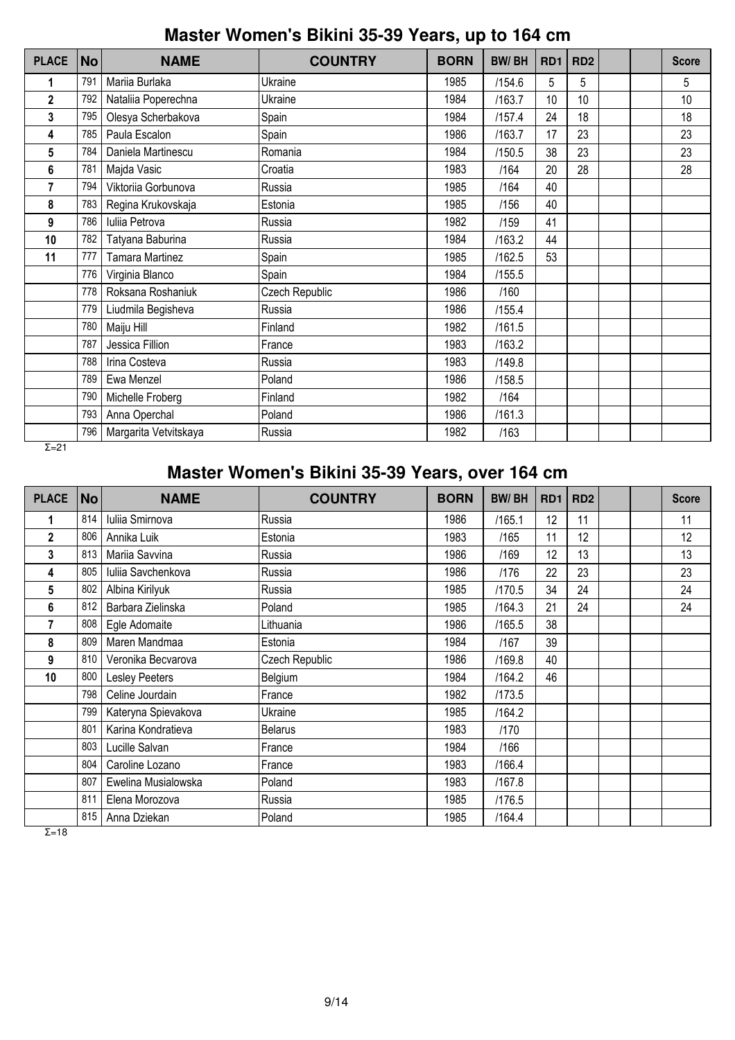## **Master Women's Bikini 35-39 Years, up to 164 cm**

| <b>PLACE</b> | <b>No</b> | <b>NAME</b>            | <b>COUNTRY</b> | <b>BORN</b> | <b>BW/BH</b> | RD <sub>1</sub> | RD <sub>2</sub> |  | <b>Score</b> |
|--------------|-----------|------------------------|----------------|-------------|--------------|-----------------|-----------------|--|--------------|
| 1            | 791       | Mariia Burlaka         | Ukraine        | 1985        | /154.6       | 5               | 5               |  | 5            |
| 2            | 792       | Nataliia Poperechna    | Ukraine        | 1984        | /163.7       | 10              | 10              |  | 10           |
| 3            | 795       | Olesya Scherbakova     | Spain          | 1984        | /157.4       | 24              | 18              |  | 18           |
| 4            | 785       | Paula Escalon          | Spain          | 1986        | /163.7       | 17              | 23              |  | 23           |
| 5            | 784       | Daniela Martinescu     | Romania        | 1984        | /150.5       | 38              | 23              |  | 23           |
| 6            | 781       | Majda Vasic            | Croatia        | 1983        | /164         | 20              | 28              |  | 28           |
| 7            | 794       | Viktoriia Gorbunova    | Russia         | 1985        | /164         | 40              |                 |  |              |
| 8            | 783       | Regina Krukovskaja     | Estonia        | 1985        | /156         | 40              |                 |  |              |
| 9            | 786       | Iuliia Petrova         | Russia         | 1982        | /159         | 41              |                 |  |              |
| 10           | 782       | Tatyana Baburina       | Russia         | 1984        | /163.2       | 44              |                 |  |              |
| 11           | 777       | <b>Tamara Martinez</b> | Spain          | 1985        | /162.5       | 53              |                 |  |              |
|              | 776       | Virginia Blanco        | Spain          | 1984        | /155.5       |                 |                 |  |              |
|              | 778       | Roksana Roshaniuk      | Czech Republic | 1986        | /160         |                 |                 |  |              |
|              | 779       | Liudmila Begisheva     | Russia         | 1986        | /155.4       |                 |                 |  |              |
|              | 780       | Maiju Hill             | Finland        | 1982        | /161.5       |                 |                 |  |              |
|              | 787       | Jessica Fillion        | France         | 1983        | /163.2       |                 |                 |  |              |
|              | 788       | Irina Costeva          | Russia         | 1983        | /149.8       |                 |                 |  |              |
|              | 789       | Ewa Menzel             | Poland         | 1986        | /158.5       |                 |                 |  |              |
|              | 790       | Michelle Froberg       | Finland        | 1982        | /164         |                 |                 |  |              |
|              | 793       | Anna Operchal          | Poland         | 1986        | /161.3       |                 |                 |  |              |
|              | 796       | Margarita Vetvitskaya  | Russia         | 1982        | /163         |                 |                 |  |              |

 $\overline{Σ=21}$ 

## **Master Women's Bikini 35-39 Years, over 164 cm**

| <b>PLACE</b> | <b>No</b> | <b>NAME</b>         | <b>COUNTRY</b> | <b>BORN</b> | <b>BW/BH</b> | RD <sub>1</sub> | RD <sub>2</sub> |  | <b>Score</b> |
|--------------|-----------|---------------------|----------------|-------------|--------------|-----------------|-----------------|--|--------------|
|              | 814       | Iuliia Smirnova     | Russia         | 1986        | /165.1       | 12              | 11              |  | 11           |
| $\mathbf{2}$ | 806       | Annika Luik         | Estonia        | 1983        | /165         | 11              | 12              |  | 12           |
| 3            | 813       | Mariia Savvina      | Russia         | 1986        | /169         | 12              | 13              |  | 13           |
| 4            | 805       | Iuliia Savchenkova  | Russia         | 1986        | /176         | 22              | 23              |  | 23           |
| 5            | 802       | Albina Kirilyuk     | Russia         | 1985        | /170.5       | 34              | 24              |  | 24           |
| 6            | 812       | Barbara Zielinska   | Poland         | 1985        | /164.3       | 21              | 24              |  | 24           |
| 7            | 808       | Egle Adomaite       | Lithuania      | 1986        | /165.5       | 38              |                 |  |              |
| 8            | 809       | Maren Mandmaa       | Estonia        | 1984        | /167         | 39              |                 |  |              |
| 9            | 810       | Veronika Becvarova  | Czech Republic | 1986        | /169.8       | 40              |                 |  |              |
| 10           | 800       | Lesley Peeters      | Belgium        | 1984        | /164.2       | 46              |                 |  |              |
|              | 798       | Celine Jourdain     | France         | 1982        | /173.5       |                 |                 |  |              |
|              | 799       | Kateryna Spievakova | Ukraine        | 1985        | /164.2       |                 |                 |  |              |
|              | 801       | Karina Kondratieva  | <b>Belarus</b> | 1983        | /170         |                 |                 |  |              |
|              | 803       | Lucille Salvan      | France         | 1984        | /166         |                 |                 |  |              |
|              | 804       | Caroline Lozano     | France         | 1983        | /166.4       |                 |                 |  |              |
|              | 807       | Ewelina Musialowska | Poland         | 1983        | /167.8       |                 |                 |  |              |
|              | 811       | Elena Morozova      | Russia         | 1985        | /176.5       |                 |                 |  |              |
|              | 815       | Anna Dziekan        | Poland         | 1985        | /164.4       |                 |                 |  |              |

 $\overline{Σ=18}$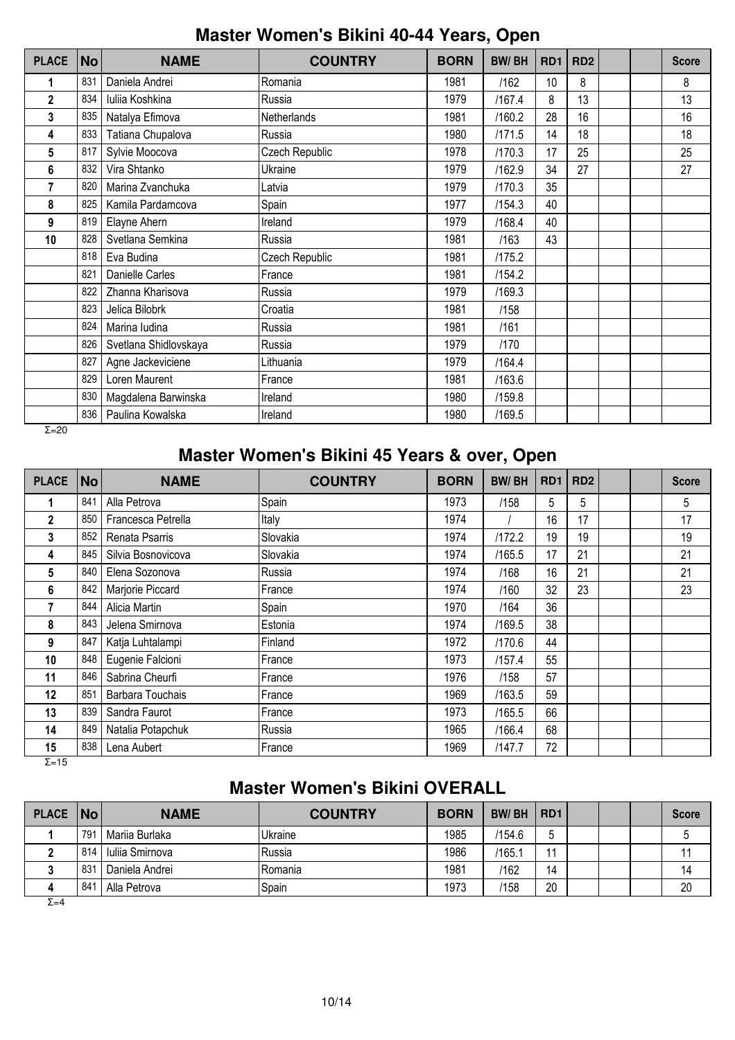## **Master Women's Bikini 40-44 Years, Open**

| <b>PLACE</b> | <b>No</b> | <b>NAME</b>           | <b>COUNTRY</b> | <b>BORN</b> | <b>BW/BH</b> | RD <sub>1</sub> | RD <sub>2</sub> |  | <b>Score</b> |
|--------------|-----------|-----------------------|----------------|-------------|--------------|-----------------|-----------------|--|--------------|
| 1            | 831       | Daniela Andrei        | Romania        | 1981        | /162         | 10              | 8               |  | 8            |
| $\mathbf{2}$ | 834       | Iuliia Koshkina       | Russia         | 1979        | /167.4       | 8               | 13              |  | 13           |
| 3            | 835       | Natalya Efimova       | Netherlands    | 1981        | /160.2       | 28              | 16              |  | 16           |
| 4            | 833       | Tatiana Chupalova     | Russia         | 1980        | /171.5       | 14              | 18              |  | 18           |
| 5            | 817       | Sylvie Moocova        | Czech Republic | 1978        | /170.3       | 17              | 25              |  | 25           |
| 6            | 832       | Vira Shtanko          | Ukraine        | 1979        | /162.9       | 34              | 27              |  | 27           |
| 7            | 820       | Marina Zvanchuka      | Latvia         | 1979        | /170.3       | 35              |                 |  |              |
| 8            | 825       | Kamila Pardamcova     | Spain          | 1977        | /154.3       | 40              |                 |  |              |
| 9            | 819       | Elayne Ahern          | Ireland        | 1979        | /168.4       | 40              |                 |  |              |
| 10           | 828       | Svetlana Semkina      | Russia         | 1981        | /163         | 43              |                 |  |              |
|              | 818       | Eva Budina            | Czech Republic | 1981        | /175.2       |                 |                 |  |              |
|              | 821       | Danielle Carles       | France         | 1981        | /154.2       |                 |                 |  |              |
|              | 822       | Zhanna Kharisova      | Russia         | 1979        | /169.3       |                 |                 |  |              |
|              | 823       | Jelica Bilobrk        | Croatia        | 1981        | /158         |                 |                 |  |              |
|              | 824       | Marina ludina         | Russia         | 1981        | /161         |                 |                 |  |              |
|              | 826       | Svetlana Shidlovskaya | Russia         | 1979        | /170         |                 |                 |  |              |
|              | 827       | Agne Jackeviciene     | Lithuania      | 1979        | /164.4       |                 |                 |  |              |
|              | 829       | Loren Maurent         | France         | 1981        | /163.6       |                 |                 |  |              |
|              | 830       | Magdalena Barwinska   | Ireland        | 1980        | /159.8       |                 |                 |  |              |
|              | 836       | Paulina Kowalska      | Ireland        | 1980        | /169.5       |                 |                 |  |              |

 $Σ=20$ 

## **Master Women's Bikini 45 Years & over, Open**

| <b>PLACE</b> | <b>No</b> | <b>NAME</b>        | <b>COUNTRY</b> | <b>BORN</b> | <b>BW/BH</b> | RD <sub>1</sub> | RD <sub>2</sub> |  | <b>Score</b> |
|--------------|-----------|--------------------|----------------|-------------|--------------|-----------------|-----------------|--|--------------|
|              | 841       | Alla Petrova       | Spain          | 1973        | /158         | 5               | 5               |  | 5            |
| $\mathbf 2$  | 850       | Francesca Petrella | Italy          | 1974        |              | 16              | 17              |  | 17           |
| 3            | 852       | Renata Psarris     | Slovakia       | 1974        | /172.2       | 19              | 19              |  | 19           |
| 4            | 845       | Silvia Bosnovicova | Slovakia       | 1974        | /165.5       | 17              | 21              |  | 21           |
| 5            | 840       | Elena Sozonova     | Russia         | 1974        | /168         | 16              | 21              |  | 21           |
| 6            | 842       | Marjorie Piccard   | France         | 1974        | /160         | 32              | 23              |  | 23           |
|              | 844       | Alicia Martin      | Spain          | 1970        | /164         | 36              |                 |  |              |
| 8            | 843       | Jelena Smirnova    | Estonia        | 1974        | /169.5       | 38              |                 |  |              |
| 9            | 847       | Katja Luhtalampi   | Finland        | 1972        | /170.6       | 44              |                 |  |              |
| 10           | 848       | Eugenie Falcioni   | France         | 1973        | /157.4       | 55              |                 |  |              |
| 11           | 846       | Sabrina Cheurfi    | France         | 1976        | /158         | 57              |                 |  |              |
| 12           | 851       | Barbara Touchais   | France         | 1969        | /163.5       | 59              |                 |  |              |
| 13           | 839       | Sandra Faurot      | France         | 1973        | /165.5       | 66              |                 |  |              |
| 14           | 849       | Natalia Potapchuk  | Russia         | 1965        | /166.4       | 68              |                 |  |              |
| 15           | 838       | Lena Aubert        | France         | 1969        | /147.7       | 72              |                 |  |              |

 $Σ=15$ 

# **Master Women's Bikini OVERALL**

| <b>PLACE</b> | <b>No</b> | <b>NAME</b>     | <b>COUNTRY</b> | <b>BORN</b> | <b>BW/BH</b> | RD <sub>1</sub> |  | <b>Score</b> |
|--------------|-----------|-----------------|----------------|-------------|--------------|-----------------|--|--------------|
|              | 791       | Mariia Burlaka  | Ukraine        | 1985        | /154.6       |                 |  |              |
|              | 814       | Iuliia Smirnova | lRussia        | 1986        | /165.1       | 44              |  |              |
|              | 831       | Daniela Andrei  | IRomania       | 1981        | /162         | 14              |  | 14           |
|              | 841       | Alla Petrova    | Spain          | 1973        | /158         | 20              |  | 20           |

 $\overline{Σ=4}$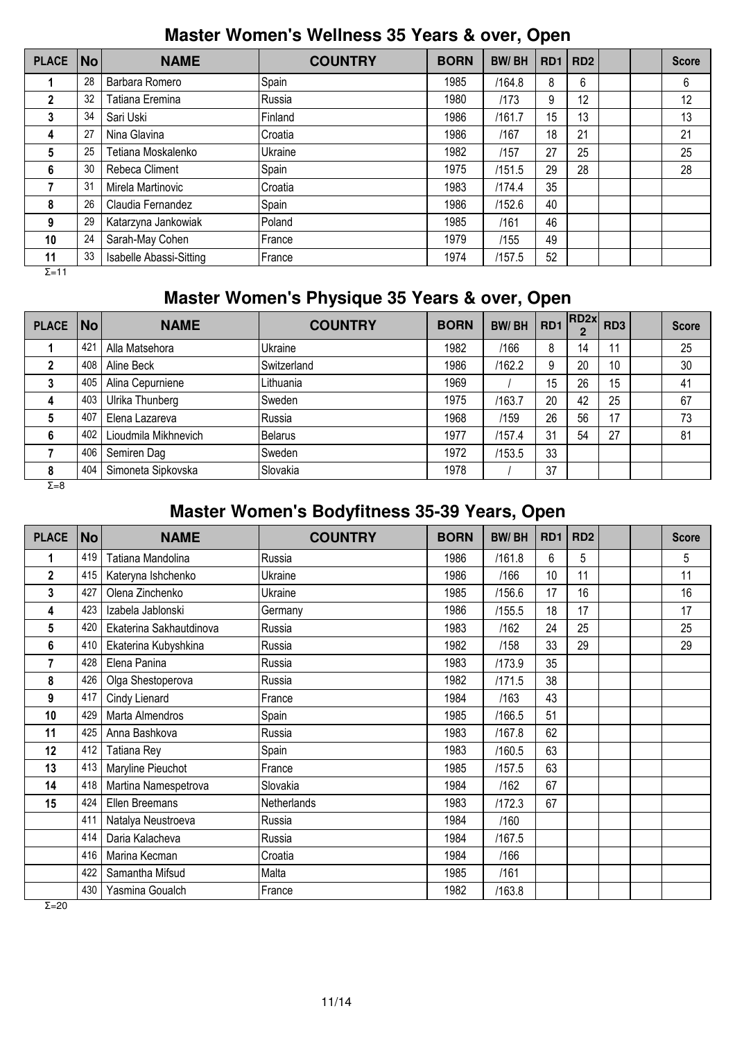## **Master Women's Wellness 35 Years & over, Open**

| <b>PLACE</b> | No | <b>NAME</b>             | <b>COUNTRY</b> | <b>BORN</b> | <b>BW/BH</b> | RD <sub>1</sub> | RD <sub>2</sub> |  | <b>Score</b> |
|--------------|----|-------------------------|----------------|-------------|--------------|-----------------|-----------------|--|--------------|
|              | 28 | Barbara Romero          | Spain          | 1985        | /164.8       | 8               | 6               |  | 6            |
| $\mathbf{2}$ | 32 | Tatiana Eremina         | lRussia        | 1980        | /173         | 9               | 12              |  | 12           |
| 3            | 34 | Sari Uski               | Finland        | 1986        | /161.7       | 15              | 13              |  | 13           |
| 4            | 27 | Nina Glavina            | Croatia        | 1986        | /167         | 18              | 21              |  | 21           |
| 5            | 25 | Tetiana Moskalenko      | Ukraine        | 1982        | /157         | 27              | 25              |  | 25           |
| 6            | 30 | Rebeca Climent          | Spain          | 1975        | /151.5       | 29              | 28              |  | 28           |
|              | 31 | Mirela Martinovic       | Croatia        | 1983        | /174.4       | 35              |                 |  |              |
| 8            | 26 | Claudia Fernandez       | Spain          | 1986        | /152.6       | 40              |                 |  |              |
| 9            | 29 | Katarzyna Jankowiak     | Poland         | 1985        | /161         | 46              |                 |  |              |
| 10           | 24 | Sarah-May Cohen         | l France       | 1979        | /155         | 49              |                 |  |              |
| 11<br>$-11$  | 33 | Isabelle Abassi-Sitting | <b>IFrance</b> | 1974        | /157.5       | 52              |                 |  |              |

Σ=11

# **Master Women's Physique 35 Years & over, Open**

| <b>PLACE</b> | $\overline{\mathsf{No}}$ | <b>NAME</b>          | <b>COUNTRY</b> | <b>BORN</b> | <b>BW/BH</b> | RD1 | RD2x <br>$\overline{2}$ | RD <sub>3</sub> | <b>Score</b> |
|--------------|--------------------------|----------------------|----------------|-------------|--------------|-----|-------------------------|-----------------|--------------|
|              | 421                      | Alla Matsehora       | Ukraine        | 1982        | /166         | 8   | 14                      | 11              | 25           |
|              | 408                      | Aline Beck           | Switzerland    | 1986        | /162.2       | 9   | 20                      | 10              | 30           |
| 3            | 405                      | Alina Cepurniene     | Lithuania      | 1969        |              | 15  | 26                      | 15              | 41           |
| 4            | 403                      | Ulrika Thunberg      | Sweden         | 1975        | /163.7       | 20  | 42                      | 25              | 67           |
| 5            | 407                      | Elena Lazareva       | Russia         | 1968        | /159         | 26  | 56                      | 17              | 73           |
| 6            | 402                      | Lioudmila Mikhnevich | Belarus        | 1977        | /157.4       | 31  | 54                      | 27              | 81           |
|              | 406                      | Semiren Dag          | Sweden         | 1972        | /153.5       | 33  |                         |                 |              |
| 8            | 404                      | Simoneta Sipkovska   | Slovakia       | 1978        |              | 37  |                         |                 |              |
| $\Sigma = 8$ |                          |                      |                |             |              |     |                         |                 |              |

# **Master Women's Bodyfitness 35-39 Years, Open**

| <b>PLACE</b>    | <b>No</b> | <b>NAME</b>             | <b>COUNTRY</b> | <b>BORN</b> | <b>BW/BH</b> | RD <sub>1</sub> | RD <sub>2</sub> |  | <b>Score</b> |
|-----------------|-----------|-------------------------|----------------|-------------|--------------|-----------------|-----------------|--|--------------|
| 1               | 419       | Tatiana Mandolina       | Russia         | 1986        | /161.8       | 6               | 5               |  | 5            |
| $\overline{2}$  | 415       | Kateryna Ishchenko      | Ukraine        | 1986        | /166         | 10              | 11              |  | 11           |
| 3               | 427       | Olena Zinchenko         | Ukraine        | 1985        | /156.6       | 17              | 16              |  | 16           |
| 4               | 423       | Izabela Jablonski       | Germany        | 1986        | /155.5       | 18              | 17              |  | 17           |
| $5\phantom{.0}$ | 420       | Ekaterina Sakhautdinova | Russia         | 1983        | /162         | 24              | 25              |  | 25           |
| 6               | 410       | Ekaterina Kubyshkina    | Russia         | 1982        | /158         | 33              | 29              |  | 29           |
| 7               | 428       | Elena Panina            | Russia         | 1983        | /173.9       | 35              |                 |  |              |
| 8               | 426       | Olga Shestoperova       | Russia         | 1982        | /171.5       | 38              |                 |  |              |
| 9               | 417       | Cindy Lienard           | France         | 1984        | /163         | 43              |                 |  |              |
| 10              | 429       | Marta Almendros         | Spain          | 1985        | /166.5       | 51              |                 |  |              |
| 11              | 425       | Anna Bashkova           | Russia         | 1983        | /167.8       | 62              |                 |  |              |
| 12              | 412       | Tatiana Rey             | Spain          | 1983        | /160.5       | 63              |                 |  |              |
| 13              | 413       | Maryline Pieuchot       | France         | 1985        | /157.5       | 63              |                 |  |              |
| 14              | 418       | Martina Namespetrova    | Slovakia       | 1984        | /162         | 67              |                 |  |              |
| 15              | 424       | Ellen Breemans          | Netherlands    | 1983        | /172.3       | 67              |                 |  |              |
|                 | 411       | Natalya Neustroeva      | Russia         | 1984        | /160         |                 |                 |  |              |
|                 | 414       | Daria Kalacheva         | Russia         | 1984        | /167.5       |                 |                 |  |              |
|                 | 416       | Marina Kecman           | Croatia        | 1984        | /166         |                 |                 |  |              |
|                 | 422       | Samantha Mifsud         | Malta          | 1985        | /161         |                 |                 |  |              |
|                 | 430       | Yasmina Goualch         | France         | 1982        | /163.8       |                 |                 |  |              |

 $\overline{Σ=20}$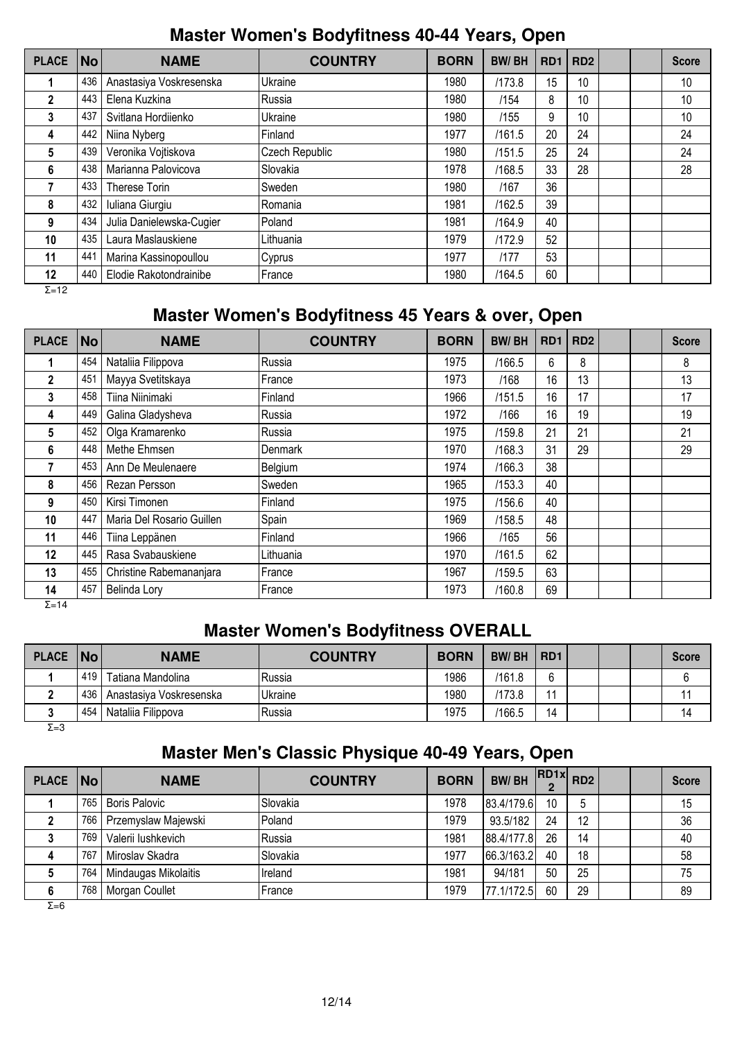### **Master Women's Bodyfitness 40-44 Years, Open**

| <b>PLACE</b>  | <b>No</b> | <b>NAME</b>              | <b>COUNTRY</b> | <b>BORN</b> | <b>BW/BH</b> | RD <sub>1</sub> | RD <sub>2</sub> |  | <b>Score</b> |
|---------------|-----------|--------------------------|----------------|-------------|--------------|-----------------|-----------------|--|--------------|
|               | 436       | Anastasiya Voskresenska  | Ukraine        | 1980        | /173.8       | 15              | 10              |  | 10           |
| $\mathbf{2}$  | 443       | Elena Kuzkina            | Russia         | 1980        | /154         | 8               | 10              |  | 10           |
| 3             | 437       | Svitlana Hordiienko      | Ukraine        | 1980        | /155         | 9               | 10              |  | 10           |
| 4             | 442       | Niina Nyberg             | Finland        | 1977        | /161.5       | 20              | 24              |  | 24           |
| 5             | 439       | Veronika Vojtiskova      | Czech Republic | 1980        | /151.5       | 25              | 24              |  | 24           |
| 6             | 438       | Marianna Palovicova      | Slovakia       | 1978        | /168.5       | 33              | 28              |  | 28           |
|               | 433       | Therese Torin            | Sweden         | 1980        | /167         | 36              |                 |  |              |
| 8             | 432       | Iuliana Giurgiu          | Romania        | 1981        | /162.5       | 39              |                 |  |              |
| 9             | 434       | Julia Danielewska-Cugier | Poland         | 1981        | /164.9       | 40              |                 |  |              |
| 10            | 435       | Laura Maslauskiene       | Lithuania      | 1979        | /172.9       | 52              |                 |  |              |
| 11            | 441       | Marina Kassinopoullou    | Cyprus         | 1977        | /177         | 53              |                 |  |              |
| 12            | 440       | Elodie Rakotondrainibe   | France         | 1980        | /164.5       | 60              |                 |  |              |
| $\Sigma = 12$ |           |                          |                |             |              |                 |                 |  |              |

## **Master Women's Bodyfitness 45 Years & over, Open**

| <b>PLACE</b>  | No  | <b>NAME</b>               | <b>COUNTRY</b> | <b>BORN</b> | <b>BW/BH</b> | RD <sub>1</sub> | RD <sub>2</sub> |  | <b>Score</b> |
|---------------|-----|---------------------------|----------------|-------------|--------------|-----------------|-----------------|--|--------------|
|               | 454 | Nataliia Filippova        | Russia         | 1975        | /166.5       | 6               | 8               |  | 8            |
| $\mathbf{2}$  | 451 | Mayya Svetitskaya         | France         | 1973        | /168         | 16              | 13              |  | 13           |
| 3             | 458 | Tiina Niinimaki           | Finland        | 1966        | /151.5       | 16              | 17              |  | 17           |
| 4             | 449 | Galina Gladysheva         | Russia         | 1972        | /166         | 16              | 19              |  | 19           |
| 5             | 452 | Olga Kramarenko           | Russia         | 1975        | /159.8       | 21              | 21              |  | 21           |
| 6             | 448 | Methe Ehmsen              | Denmark        | 1970        | /168.3       | 31              | 29              |  | 29           |
|               | 453 | Ann De Meulenaere         | Belgium        | 1974        | /166.3       | 38              |                 |  |              |
| 8             | 456 | Rezan Persson             | Sweden         | 1965        | /153.3       | 40              |                 |  |              |
| 9             | 450 | Kirsi Timonen             | Finland        | 1975        | /156.6       | 40              |                 |  |              |
| 10            | 447 | Maria Del Rosario Guillen | Spain          | 1969        | /158.5       | 48              |                 |  |              |
| 11            | 446 | Tiina Leppänen            | Finland        | 1966        | /165         | 56              |                 |  |              |
| 12            | 445 | Rasa Svabauskiene         | Lithuania      | 1970        | /161.5       | 62              |                 |  |              |
| 13            | 455 | Christine Rabemananjara   | France         | 1967        | /159.5       | 63              |                 |  |              |
| 14            | 457 | Belinda Lory              | France         | 1973        | /160.8       | 69              |                 |  |              |
| $\Sigma = 14$ |     |                           |                |             |              |                 |                 |  |              |

### **Master Women's Bodyfitness OVERALL**

| PLACE   No |     | <b>NAME</b>             | <b>COUNTRY</b> | <b>BORN</b> | <b>BW/BH</b> | R <sub>D</sub> 1 |  | <b>Score</b> |
|------------|-----|-------------------------|----------------|-------------|--------------|------------------|--|--------------|
|            | 419 | Tatiana Mandolina       | Russia         | 1986        | /161.8       | $\sim$           |  |              |
|            | 436 | Anastasiya Voskresenska | Ukraine        | 1980        | 173.8        | $\overline{A}$   |  |              |
|            | 454 | Nataliia Filippova      | Russia         | 1975        | /166.5       | 14               |  | 14           |

 $Σ=3$ 

# **Master Men's Classic Physique 40-49 Years, Open**

| PLACE   No |     | <b>NAME</b>          | <b>COUNTRY</b> | <b>BORN</b> | <b>BW/BH</b> | $R$ D <sub>1x</sub> $R$ D <sub>2</sub><br>ŋ |    |  | <b>Score</b> |
|------------|-----|----------------------|----------------|-------------|--------------|---------------------------------------------|----|--|--------------|
|            | 765 | <b>Boris Palovic</b> | Slovakia       | 1978        | 183.4/179.6  | 10                                          | 5  |  | 15           |
|            | 766 | Przemyslaw Majewski  | Poland         | 1979        | 93.5/182     | 24                                          | 12 |  | 36           |
|            | 769 | Valerii lushkevich   | Russia         | 1981        | 88.4/177.8   | 26                                          | 14 |  | 40           |
|            | 767 | Miroslav Skadra      | Slovakia       | 1977        | 66.3/163.2   | 40                                          | 18 |  | 58           |
|            | 764 | Mindaugas Mikolaitis | Ireland        | 1981        | 94/181       | 50                                          | 25 |  | 75           |
|            | 768 | Morgan Coullet       | France         | 1979        | 77.1/172.5   | 60                                          | 29 |  | 89           |

 $\overline{Σ=6}$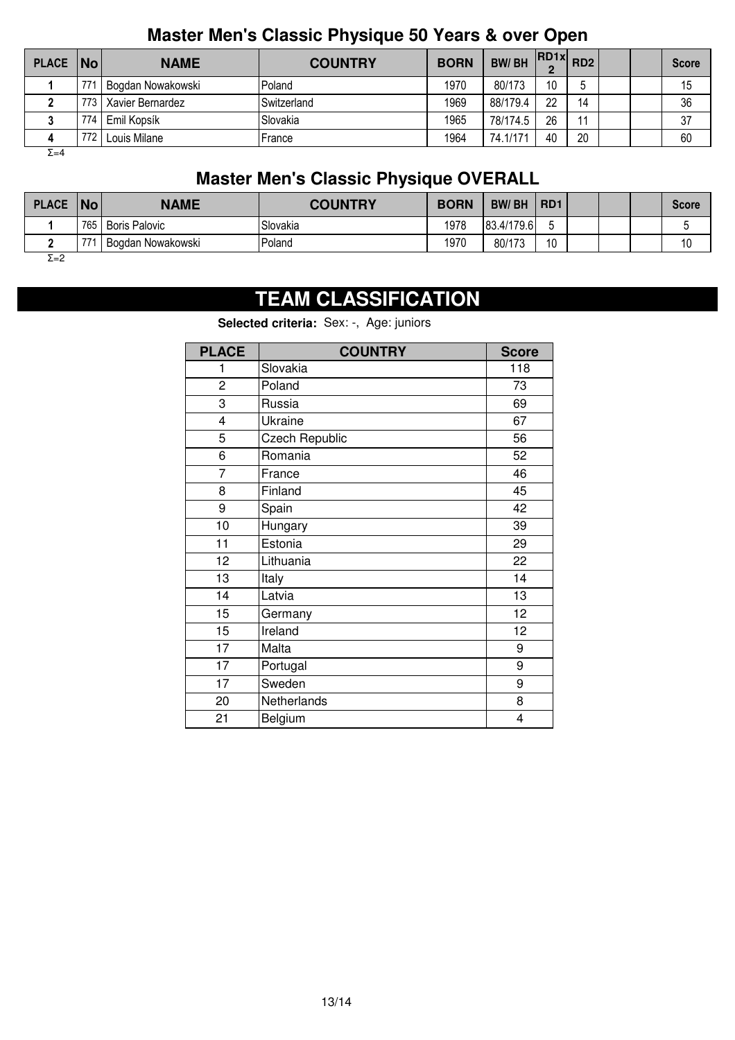## **Master Men's Classic Physique 50 Years & over Open**

| PLACE No |                 | <b>NAME</b>       | <b>COUNTRY</b>     | <b>BORN</b> | <b>BW/BH</b> | $R$ $R$ $D$ $1 \times R$ $D$ $2 \times R$ |                |  | <b>Score</b> |
|----------|-----------------|-------------------|--------------------|-------------|--------------|-------------------------------------------|----------------|--|--------------|
|          | 77 <sup>1</sup> | Bogdan Nowakowski | Poland             | 1970        | 80/173       | 10                                        |                |  | 15           |
|          | 773 I           | Xavier Bernardez  | <b>Switzerland</b> | 1969        | 88/179.4     | 22                                        | 14             |  | 36           |
|          | 774             | Emil Kopsík       | Slovakia           | 1965        | 78/174.5     | 26                                        | 1 <sub>1</sub> |  | 37           |
|          | 772             | Louis Milane      | France             | 1964        | 74.1/171     | 40                                        | 20             |  | 60           |

 $Σ=4$ 

# **Master Men's Classic Physique OVERALL**

| <b>PLACE</b> | <b>No</b> | <b>NAME</b>          | <b>COUNTRY</b> | <b>BORN</b> | <b>BW/BH</b> | RD <sub>1</sub> |  | <b>Score</b>          |
|--------------|-----------|----------------------|----------------|-------------|--------------|-----------------|--|-----------------------|
|              | 765       | <b>Boris Palovic</b> | Slovakia       | 1978        | 83.4/179.6   |                 |  |                       |
|              | 77        | Bogdan Nowakowski    | Poland         | 1970        | 80/173       | 10              |  | $\overline{A}$<br>. U |
| $\Sigma = 2$ |           |                      |                |             |              |                 |  |                       |

# **TEAM CLASSIFICATION**

**Selected criteria:** Sex: -, Age: juniors

| <b>PLACE</b>   | <b>COUNTRY</b>        | <b>Score</b> |
|----------------|-----------------------|--------------|
| 1              | Slovakia              | 118          |
| $\overline{c}$ | Poland                | 73           |
| 3              | Russia                | 69           |
| 4              | Ukraine               | 67           |
| 5              | <b>Czech Republic</b> | 56           |
| 6              | Romania               | 52           |
| $\overline{7}$ | France                | 46           |
| 8              | Finland               | 45           |
| 9              | Spain                 | 42           |
| 10             | Hungary               | 39           |
| 11             | Estonia               | 29           |
| 12             | Lithuania             | 22           |
| 13             | Italy                 | 14           |
| 14             | Latvia                | 13           |
| 15             | Germany               | 12           |
| 15             | Ireland               | 12           |
| 17             | Malta                 | 9            |
| 17             | Portugal              | 9            |
| 17             | Sweden                | 9            |
| 20             | Netherlands           | 8            |
| 21             | Belgium               | 4            |